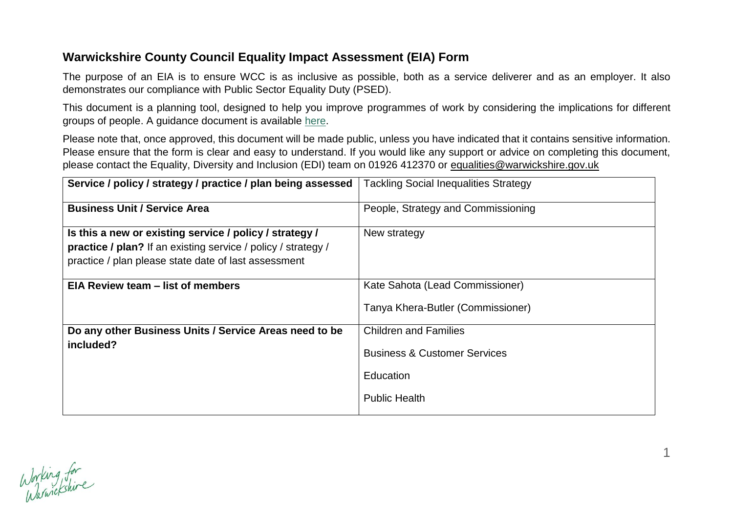## **Warwickshire County Council Equality Impact Assessment (EIA) Form**

The purpose of an EIA is to ensure WCC is as inclusive as possible, both as a service deliverer and as an employer. It also demonstrates our compliance with Public Sector Equality Duty (PSED).

This document is a planning tool, designed to help you improve programmes of work by considering the implications for different groups of people. A guidance document is available [here.](https://warwickshiregovuk.sharepoint.com/SitePages/Equality-Impact-Assessments.aspx)

Please note that, once approved, this document will be made public, unless you have indicated that it contains sensitive information. Please ensure that the form is clear and easy to understand. If you would like any support or advice on completing this document, please contact the Equality, Diversity and Inclusion (EDI) team on 01926 412370 or [equalities@warwickshire.gov.uk](mailto:equalities@warwickshire.gov.uk)

| Service / policy / strategy / practice / plan being assessed                                                                                                                     | <b>Tackling Social Inequalities Strategy</b>                                                                 |
|----------------------------------------------------------------------------------------------------------------------------------------------------------------------------------|--------------------------------------------------------------------------------------------------------------|
| <b>Business Unit / Service Area</b>                                                                                                                                              | People, Strategy and Commissioning                                                                           |
| Is this a new or existing service / policy / strategy /<br>practice / plan? If an existing service / policy / strategy /<br>practice / plan please state date of last assessment | New strategy                                                                                                 |
| EIA Review team – list of members                                                                                                                                                | Kate Sahota (Lead Commissioner)<br>Tanya Khera-Butler (Commissioner)                                         |
| Do any other Business Units / Service Areas need to be<br>included?                                                                                                              | <b>Children and Families</b><br><b>Business &amp; Customer Services</b><br>Education<br><b>Public Health</b> |

1

Working for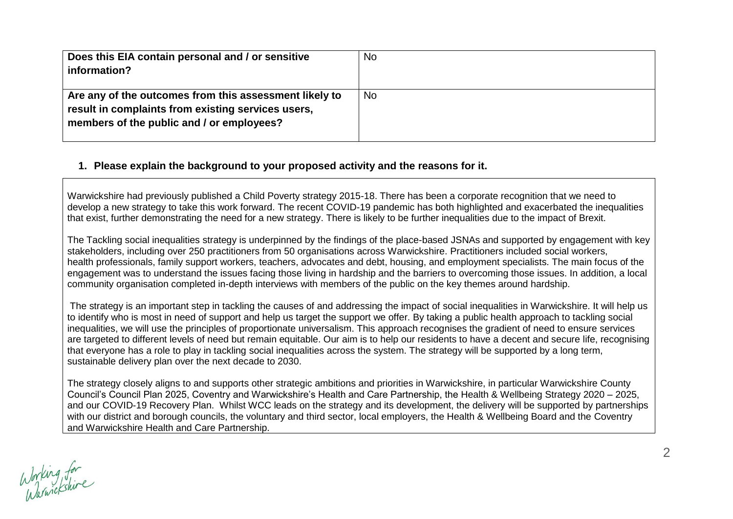| Does this EIA contain personal and / or sensitive<br>information?                                                                                         | <b>No</b> |
|-----------------------------------------------------------------------------------------------------------------------------------------------------------|-----------|
| Are any of the outcomes from this assessment likely to<br>result in complaints from existing services users,<br>members of the public and / or employees? | <b>No</b> |

#### **1. Please explain the background to your proposed activity and the reasons for it.**

Warwickshire had previously published a Child Poverty strategy 2015-18. There has been a corporate recognition that we need to develop a new strategy to take this work forward. The recent COVID-19 pandemic has both highlighted and exacerbated the inequalities that exist, further demonstrating the need for a new strategy. There is likely to be further inequalities due to the impact of Brexit.

The Tackling social inequalities strategy is underpinned by the findings of the place-based JSNAs and supported by engagement with key stakeholders, including over 250 practitioners from 50 organisations across Warwickshire. Practitioners included social workers, health professionals, family support workers, teachers, advocates and debt, housing, and employment specialists. The main focus of the engagement was to understand the issues facing those living in hardship and the barriers to overcoming those issues. In addition, a local community organisation completed in-depth interviews with members of the public on the key themes around hardship.

The strategy is an important step in tackling the causes of and addressing the impact of social inequalities in Warwickshire. It will help us to identify who is most in need of support and help us target the support we offer. By taking a public health approach to tackling social inequalities, we will use the principles of proportionate universalism. This approach recognises the gradient of need to ensure services are targeted to different levels of need but remain equitable. Our aim is to help our residents to have a decent and secure life, recognising that everyone has a role to play in tackling social inequalities across the system. The strategy will be supported by a long term, sustainable delivery plan over the next decade to 2030.

The strategy closely aligns to and supports other strategic ambitions and priorities in Warwickshire, in particular Warwickshire County Council's Council Plan 2025, Coventry and Warwickshire's Health and Care Partnership, the Health & Wellbeing Strategy 2020 – 2025, and our COVID-19 Recovery Plan. Whilst WCC leads on the strategy and its development, the delivery will be supported by partnerships with our district and borough councils, the voluntary and third sector, local employers, the Health & Wellbeing Board and the Coventry and Warwickshire Health and Care Partnership.

Working for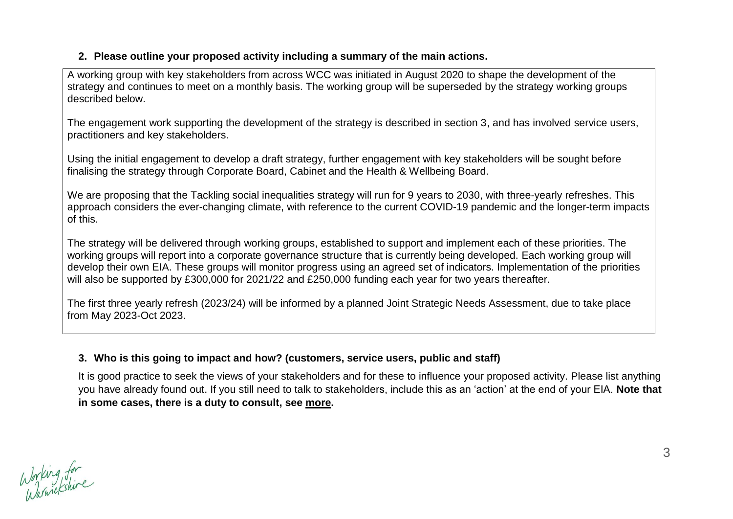#### **2. Please outline your proposed activity including a summary of the main actions.**

A working group with key stakeholders from across WCC was initiated in August 2020 to shape the development of the strategy and continues to meet on a monthly basis. The working group will be superseded by the strategy working groups described below.

The engagement work supporting the development of the strategy is described in section 3, and has involved service users, practitioners and key stakeholders.

Using the initial engagement to develop a draft strategy, further engagement with key stakeholders will be sought before finalising the strategy through Corporate Board, Cabinet and the Health & Wellbeing Board.

We are proposing that the Tackling social inequalities strategy will run for 9 years to 2030, with three-yearly refreshes. This approach considers the ever-changing climate, with reference to the current COVID-19 pandemic and the longer-term impacts of this.

The strategy will be delivered through working groups, established to support and implement each of these priorities. The working groups will report into a corporate governance structure that is currently being developed. Each working group will develop their own EIA. These groups will monitor progress using an agreed set of indicators. Implementation of the priorities will also be supported by £300,000 for 2021/22 and £250,000 funding each year for two years thereafter.

The first three yearly refresh (2023/24) will be informed by a planned Joint Strategic Needs Assessment, due to take place from May 2023-Oct 2023.

## **3. Who is this going to impact and how? (customers, service users, public and staff)**

It is good practice to seek the views of your stakeholders and for these to influence your proposed activity. Please list anything you have already found out. If you still need to talk to stakeholders, include this as an 'action' at the end of your EIA. **Note that in some cases, there is a duty to consult, see [more.](https://warwickshiregovuk.sharepoint.com/SitePages/Consultation,-engagement-and-survey-resources.aspx)**

Working for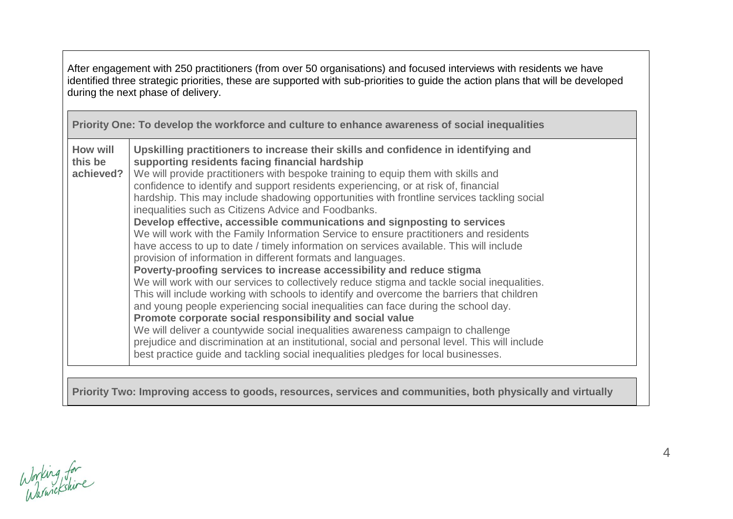After engagement with 250 practitioners (from over 50 organisations) and focused interviews with residents we have identified three strategic priorities, these are supported with sub-priorities to guide the action plans that will be developed during the next phase of delivery. **Priority One: To develop the workforce and culture to enhance awareness of social inequalities How will this be achieved? Upskilling practitioners to increase their skills and confidence in identifying and supporting residents facing financial hardship** We will provide practitioners with bespoke training to equip them with skills and confidence to identify and support residents experiencing, or at risk of, financial hardship. This may include shadowing opportunities with frontline services tackling social inequalities such as Citizens Advice and Foodbanks. **Develop effective, accessible communications and signposting to services** We will work with the Family Information Service to ensure practitioners and residents have access to up to date / timely information on services available. This will include provision of information in different formats and languages. **Poverty-proofing services to increase accessibility and reduce stigma** We will work with our services to collectively reduce stigma and tackle social inequalities. This will include working with schools to identify and overcome the barriers that children and young people experiencing social inequalities can face during the school day. **Promote corporate social responsibility and social value** We will deliver a countywide social inequalities awareness campaign to challenge prejudice and discrimination at an institutional, social and personal level. This will include best practice guide and tackling social inequalities pledges for local businesses. **Priority Two: Improving access to goods, resources, services and communities, both physically and virtually**

Working for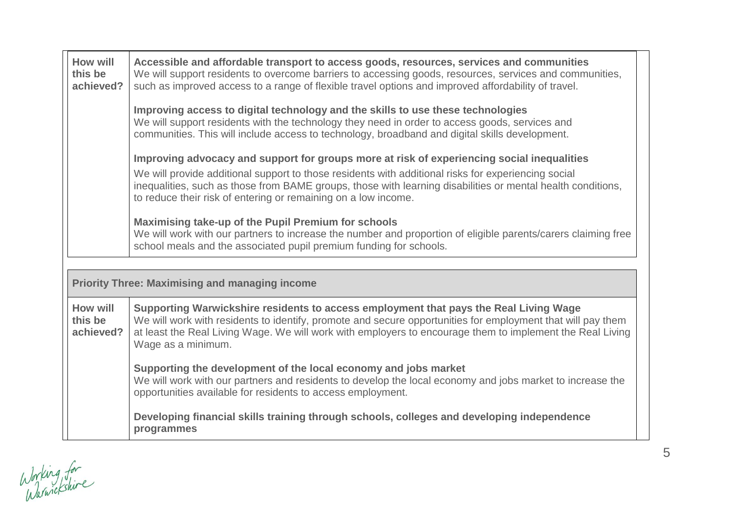| How will<br>this be<br>achieved? | Accessible and affordable transport to access goods, resources, services and communities<br>We will support residents to overcome barriers to accessing goods, resources, services and communities,<br>such as improved access to a range of flexible travel options and improved affordability of travel.                                                                         |
|----------------------------------|------------------------------------------------------------------------------------------------------------------------------------------------------------------------------------------------------------------------------------------------------------------------------------------------------------------------------------------------------------------------------------|
|                                  | Improving access to digital technology and the skills to use these technologies<br>We will support residents with the technology they need in order to access goods, services and<br>communities. This will include access to technology, broadband and digital skills development.                                                                                                |
|                                  | Improving advocacy and support for groups more at risk of experiencing social inequalities<br>We will provide additional support to those residents with additional risks for experiencing social<br>inequalities, such as those from BAME groups, those with learning disabilities or mental health conditions,<br>to reduce their risk of entering or remaining on a low income. |
|                                  | Maximising take-up of the Pupil Premium for schools<br>We will work with our partners to increase the number and proportion of eligible parents/carers claiming free<br>school meals and the associated pupil premium funding for schools.                                                                                                                                         |
|                                  | <b>Priority Three: Maximising and managing income</b>                                                                                                                                                                                                                                                                                                                              |
|                                  |                                                                                                                                                                                                                                                                                                                                                                                    |
| How will<br>this be<br>achieved? | Supporting Warwickshire residents to access employment that pays the Real Living Wage<br>We will work with residents to identify, promote and secure opportunities for employment that will pay them<br>at least the Real Living Wage. We will work with employers to encourage them to implement the Real Living<br>Wage as a minimum.                                            |
|                                  | Supporting the development of the local economy and jobs market<br>We will work with our partners and residents to develop the local economy and jobs market to increase the<br>opportunities available for residents to access employment.                                                                                                                                        |
|                                  | Developing financial skills training through schools, colleges and developing independence<br>programmes                                                                                                                                                                                                                                                                           |

Working for<br>Warwickshire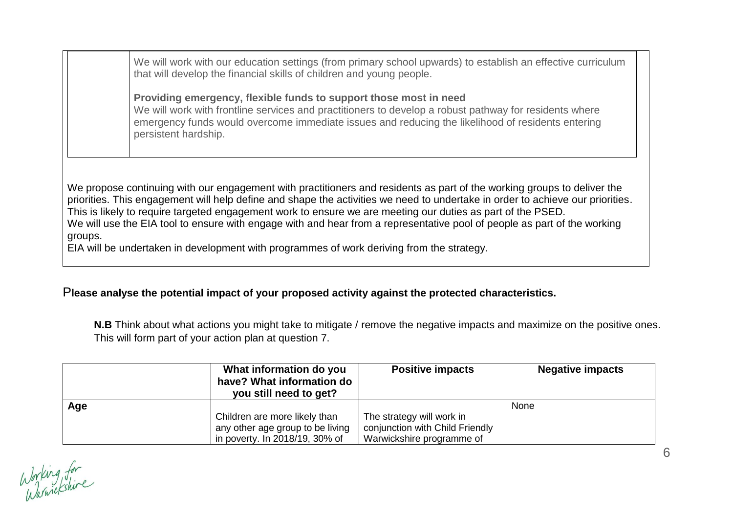We will work with our education settings (from primary school upwards) to establish an effective curriculum that will develop the financial skills of children and young people.

**Providing emergency, flexible funds to support those most in need** We will work with frontline services and practitioners to develop a robust pathway for residents where emergency funds would overcome immediate issues and reducing the likelihood of residents entering persistent hardship.

We propose continuing with our engagement with practitioners and residents as part of the working groups to deliver the priorities. This engagement will help define and shape the activities we need to undertake in order to achieve our priorities. This is likely to require targeted engagement work to ensure we are meeting our duties as part of the PSED. We will use the EIA tool to ensure with engage with and hear from a representative pool of people as part of the working groups.

EIA will be undertaken in development with programmes of work deriving from the strategy.

## P**lease analyse the potential impact of your proposed activity against the protected characteristics.**

**N.B** Think about what actions you might take to mitigate / remove the negative impacts and maximize on the positive ones. This will form part of your action plan at question 7.

|     | What information do you<br>have? What information do<br>you still need to get? | <b>Positive impacts</b>         | <b>Negative impacts</b> |
|-----|--------------------------------------------------------------------------------|---------------------------------|-------------------------|
| Age |                                                                                |                                 | None                    |
|     | Children are more likely than                                                  | The strategy will work in       |                         |
|     | any other age group to be living                                               | conjunction with Child Friendly |                         |
|     | in poverty. In 2018/19, 30% of                                                 | Warwickshire programme of       |                         |

Working for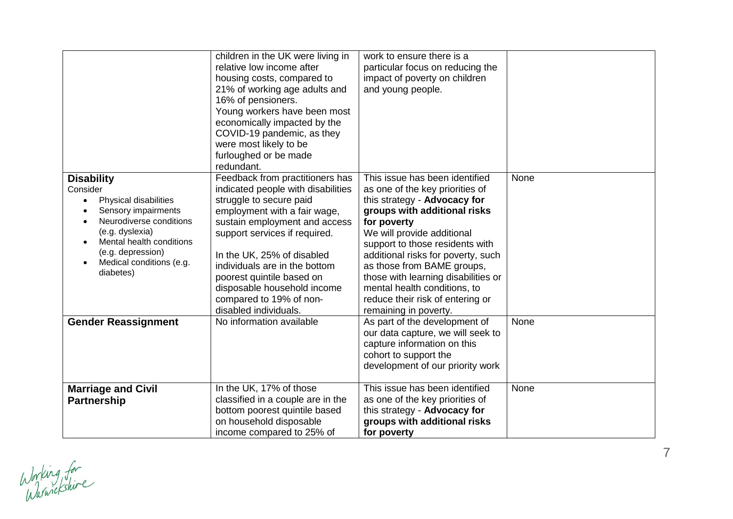|                                                                                                                                                                                                                                                                           | children in the UK were living in<br>relative low income after<br>housing costs, compared to<br>21% of working age adults and<br>16% of pensioners.<br>Young workers have been most<br>economically impacted by the<br>COVID-19 pandemic, as they<br>were most likely to be<br>furloughed or be made<br>redundant.                                                                | work to ensure there is a<br>particular focus on reducing the<br>impact of poverty on children<br>and young people.                                                                                                                                                                                                                                                                                                       |      |
|---------------------------------------------------------------------------------------------------------------------------------------------------------------------------------------------------------------------------------------------------------------------------|-----------------------------------------------------------------------------------------------------------------------------------------------------------------------------------------------------------------------------------------------------------------------------------------------------------------------------------------------------------------------------------|---------------------------------------------------------------------------------------------------------------------------------------------------------------------------------------------------------------------------------------------------------------------------------------------------------------------------------------------------------------------------------------------------------------------------|------|
| <b>Disability</b><br>Consider<br>Physical disabilities<br>$\bullet$<br>Sensory impairments<br>$\bullet$<br>Neurodiverse conditions<br>$\bullet$<br>(e.g. dyslexia)<br>Mental health conditions<br>$\bullet$<br>(e.g. depression)<br>Medical conditions (e.g.<br>diabetes) | Feedback from practitioners has<br>indicated people with disabilities<br>struggle to secure paid<br>employment with a fair wage,<br>sustain employment and access<br>support services if required.<br>In the UK, 25% of disabled<br>individuals are in the bottom<br>poorest quintile based on<br>disposable household income<br>compared to 19% of non-<br>disabled individuals. | This issue has been identified<br>as one of the key priorities of<br>this strategy - Advocacy for<br>groups with additional risks<br>for poverty<br>We will provide additional<br>support to those residents with<br>additional risks for poverty, such<br>as those from BAME groups,<br>those with learning disabilities or<br>mental health conditions, to<br>reduce their risk of entering or<br>remaining in poverty. | None |
| <b>Gender Reassignment</b>                                                                                                                                                                                                                                                | No information available                                                                                                                                                                                                                                                                                                                                                          | As part of the development of<br>our data capture, we will seek to<br>capture information on this<br>cohort to support the<br>development of our priority work                                                                                                                                                                                                                                                            | None |
| <b>Marriage and Civil</b><br><b>Partnership</b>                                                                                                                                                                                                                           | In the UK, 17% of those<br>classified in a couple are in the<br>bottom poorest quintile based<br>on household disposable<br>income compared to 25% of                                                                                                                                                                                                                             | This issue has been identified<br>as one of the key priorities of<br>this strategy - Advocacy for<br>groups with additional risks<br>for poverty                                                                                                                                                                                                                                                                          | None |

Working for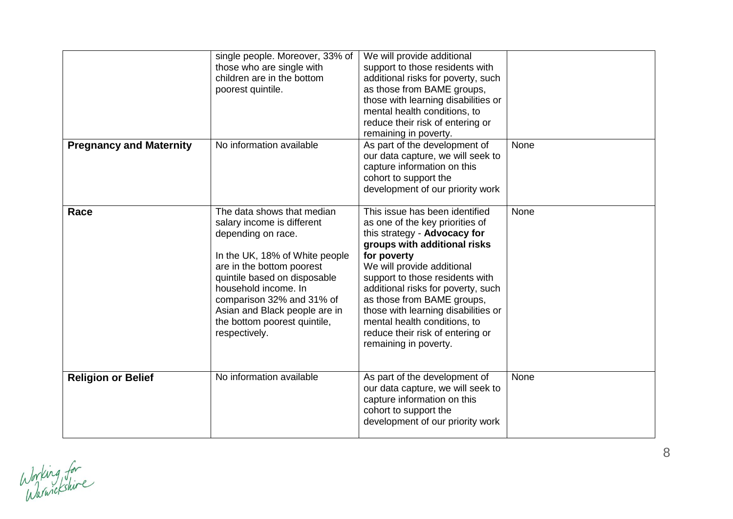|                                | single people. Moreover, 33% of<br>those who are single with<br>children are in the bottom<br>poorest quintile.                                                                                                                                                                                                      | We will provide additional<br>support to those residents with<br>additional risks for poverty, such<br>as those from BAME groups,<br>those with learning disabilities or<br>mental health conditions, to<br>reduce their risk of entering or<br>remaining in poverty.                                                                                                                                                     |      |
|--------------------------------|----------------------------------------------------------------------------------------------------------------------------------------------------------------------------------------------------------------------------------------------------------------------------------------------------------------------|---------------------------------------------------------------------------------------------------------------------------------------------------------------------------------------------------------------------------------------------------------------------------------------------------------------------------------------------------------------------------------------------------------------------------|------|
| <b>Pregnancy and Maternity</b> | No information available                                                                                                                                                                                                                                                                                             | As part of the development of<br>our data capture, we will seek to<br>capture information on this<br>cohort to support the<br>development of our priority work                                                                                                                                                                                                                                                            | None |
| Race                           | The data shows that median<br>salary income is different<br>depending on race.<br>In the UK, 18% of White people<br>are in the bottom poorest<br>quintile based on disposable<br>household income. In<br>comparison 32% and 31% of<br>Asian and Black people are in<br>the bottom poorest quintile,<br>respectively. | This issue has been identified<br>as one of the key priorities of<br>this strategy - Advocacy for<br>groups with additional risks<br>for poverty<br>We will provide additional<br>support to those residents with<br>additional risks for poverty, such<br>as those from BAME groups,<br>those with learning disabilities or<br>mental health conditions, to<br>reduce their risk of entering or<br>remaining in poverty. | None |
| <b>Religion or Belief</b>      | No information available                                                                                                                                                                                                                                                                                             | As part of the development of<br>our data capture, we will seek to<br>capture information on this<br>cohort to support the<br>development of our priority work                                                                                                                                                                                                                                                            | None |

Working for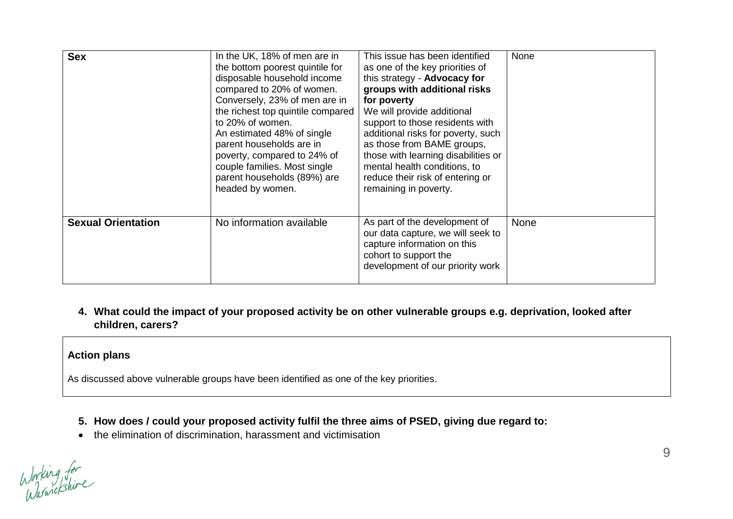| <b>Sex</b>                | In the UK, 18% of men are in<br>the bottom poorest quintile for<br>disposable household income<br>compared to 20% of women.<br>Conversely, 23% of men are in<br>the richest top quintile compared<br>to 20% of women.<br>An estimated 48% of single<br>parent households are in<br>poverty, compared to 24% of<br>couple families. Most single<br>parent households (89%) are<br>headed by women. | This issue has been identified<br>as one of the key priorities of<br>this strategy - Advocacy for<br>groups with additional risks<br>for poverty<br>We will provide additional<br>support to those residents with<br>additional risks for poverty, such<br>as those from BAME groups,<br>those with learning disabilities or<br>mental health conditions, to<br>reduce their risk of entering or<br>remaining in poverty. | None        |
|---------------------------|---------------------------------------------------------------------------------------------------------------------------------------------------------------------------------------------------------------------------------------------------------------------------------------------------------------------------------------------------------------------------------------------------|---------------------------------------------------------------------------------------------------------------------------------------------------------------------------------------------------------------------------------------------------------------------------------------------------------------------------------------------------------------------------------------------------------------------------|-------------|
| <b>Sexual Orientation</b> | No information available                                                                                                                                                                                                                                                                                                                                                                          | As part of the development of<br>our data capture, we will seek to<br>capture information on this<br>cohort to support the<br>development of our priority work                                                                                                                                                                                                                                                            | <b>None</b> |

**4. What could the impact of your proposed activity be on other vulnerable groups e.g. deprivation, looked after children, carers?**

#### **Action plans**

As discussed above vulnerable groups have been identified as one of the key priorities.

- **5. How does / could your proposed activity fulfil the three aims of PSED, giving due regard to:**
- the elimination of discrimination, harassment and victimisation

Working for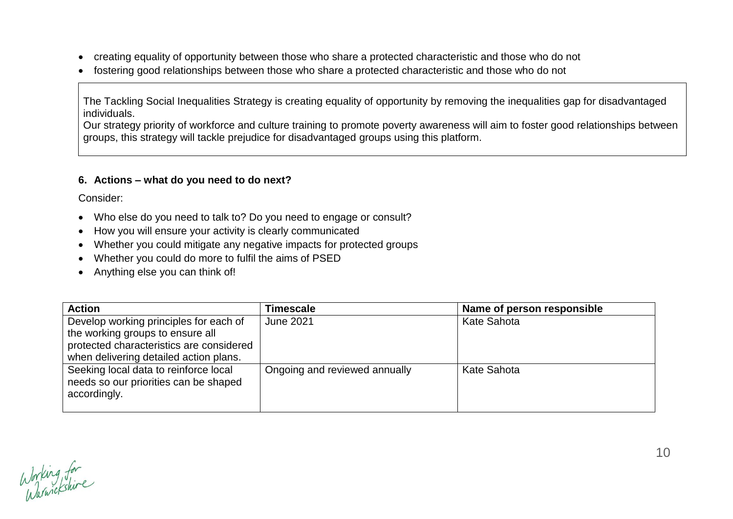- creating equality of opportunity between those who share a protected characteristic and those who do not
- fostering good relationships between those who share a protected characteristic and those who do not

The Tackling Social Inequalities Strategy is creating equality of opportunity by removing the inequalities gap for disadvantaged individuals.

Our strategy priority of workforce and culture training to promote poverty awareness will aim to foster good relationships between groups, this strategy will tackle prejudice for disadvantaged groups using this platform.

#### **6. Actions – what do you need to do next?**

Consider:

- Who else do you need to talk to? Do you need to engage or consult?
- How you will ensure your activity is clearly communicated
- Whether you could mitigate any negative impacts for protected groups
- Whether you could do more to fulfil the aims of PSED
- Anything else you can think of!

| <b>Action</b>                                                                                  | Timescale                     | Name of person responsible |
|------------------------------------------------------------------------------------------------|-------------------------------|----------------------------|
| Develop working principles for each of<br>the working groups to ensure all                     | <b>June 2021</b>              | <b>Kate Sahota</b>         |
| protected characteristics are considered<br>when delivering detailed action plans.             |                               |                            |
| Seeking local data to reinforce local<br>needs so our priorities can be shaped<br>accordingly. | Ongoing and reviewed annually | <b>Kate Sahota</b>         |

Working for<br>Warnickshire